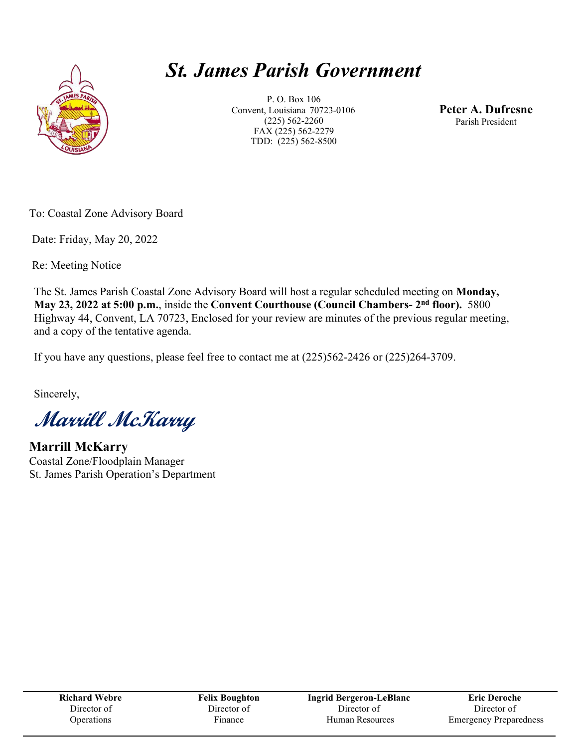

# *St. James Parish Government*

P. O. Box 106 Convent, Louisiana 70723-0106 (225) 562-2260 FAX (225) 562-2279 TDD: (225) 562-8500

**Peter A. Dufresne** Parish President

To: Coastal Zone Advisory Board

Date: Friday, May 20, 2022

Re: Meeting Notice

The St. James Parish Coastal Zone Advisory Board will host a regular scheduled meeting on **Monday, May 23, 2022 at 5:00 p.m.**, inside the **Convent Courthouse (Council Chambers-** 2<sup>nd</sup> floor). 5800 Highway 44, Convent, LA 70723, Enclosed for your review are minutes of the previous regular meeting, and a copy of the tentative agenda.

If you have any questions, please feel free to contact me at (225)562-2426 or (225)264-3709.

Sincerely,

**Marrill McKarry**

**Marrill McKarry**

Coastal Zone/Floodplain Manager St. James Parish Operation's Department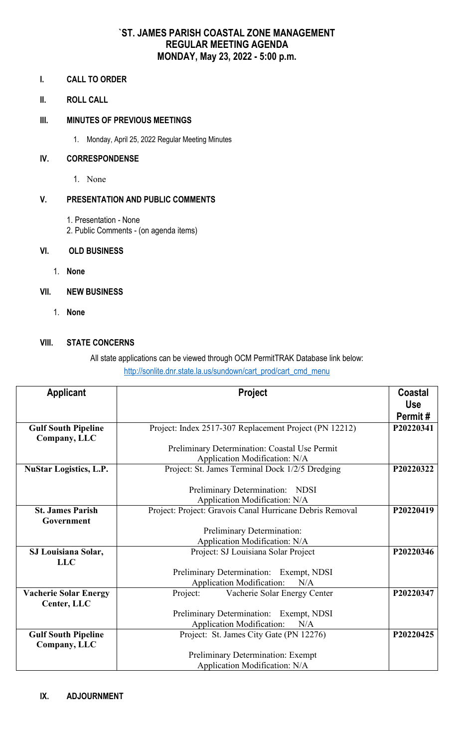# **`ST. JAMES PARISH COASTAL ZONE MANAGEMENT REGULAR MEETING AGENDA MONDAY, May 23, 2022 - 5:00 p.m.**

## **I. CALL TO ORDER**

**II. ROLL CALL**

# **III. MINUTES OF PREVIOUS MEETINGS**

1. Monday, April 25, 2022 Regular Meeting Minutes

## **IV. CORRESPONDENSE**

1. None

# **V. PRESENTATION AND PUBLIC COMMENTS**

- 1. Presentation None
- 2. Public Comments (on agenda items)

# **VI. OLD BUSINESS**

1. **None**

# **VII. NEW BUSINESS**

1. **None**

# **VIII. STATE CONCERNS**

# All state applications can be viewed through OCM PermitTRAK Database link below:

[http://sonlite.dnr.state.la.us/sundown/cart\\_prod/cart\\_cmd\\_menu](http://sonlite.dnr.state.la.us/sundown/cart_prod/cart_cmd_menu)

| <b>Applicant</b>              | <b>Project</b>                                           | <b>Coastal</b><br><b>Use</b><br>Permit# |
|-------------------------------|----------------------------------------------------------|-----------------------------------------|
| <b>Gulf South Pipeline</b>    | Project: Index 2517-307 Replacement Project (PN 12212)   | P20220341                               |
| Company, LLC                  |                                                          |                                         |
|                               | Preliminary Determination: Coastal Use Permit            |                                         |
|                               | Application Modification: N/A                            |                                         |
| <b>NuStar Logistics, L.P.</b> | Project: St. James Terminal Dock 1/2/5 Dredging          | P20220322                               |
|                               | Preliminary Determination: NDSI                          |                                         |
|                               | Application Modification: N/A                            |                                         |
| <b>St. James Parish</b>       | Project: Project: Gravois Canal Hurricane Debris Removal | P20220419                               |
| Government                    |                                                          |                                         |
|                               | Preliminary Determination:                               |                                         |
|                               | Application Modification: N/A                            |                                         |
| SJ Louisiana Solar,           | Project: SJ Louisiana Solar Project                      | P20220346                               |
| <b>LLC</b>                    |                                                          |                                         |
|                               | Preliminary Determination: Exempt, NDSI                  |                                         |
|                               | <b>Application Modification:</b><br>N/A                  |                                         |
| <b>Vacherie Solar Energy</b>  | Project:<br>Vacherie Solar Energy Center                 | P20220347                               |
| Center, LLC                   |                                                          |                                         |
|                               | Preliminary Determination: Exempt, NDSI                  |                                         |
|                               | <b>Application Modification:</b><br>N/A                  |                                         |
| <b>Gulf South Pipeline</b>    | Project: St. James City Gate (PN 12276)                  | P20220425                               |
| Company, LLC                  |                                                          |                                         |
|                               | Preliminary Determination: Exempt                        |                                         |
|                               | Application Modification: N/A                            |                                         |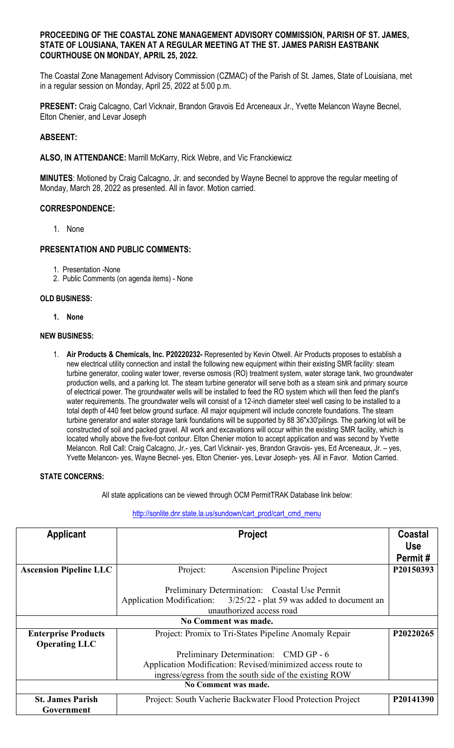## **PROCEEDING OF THE COASTAL ZONE MANAGEMENT ADVISORY COMMISSION, PARISH OF ST. JAMES, STATE OF LOUSIANA, TAKEN AT A REGULAR MEETING AT THE ST. JAMES PARISH EASTBANK COURTHOUSE ON MONDAY, APRIL 25, 2022.**

The Coastal Zone Management Advisory Commission (CZMAC) of the Parish of St. James, State of Louisiana, met in a regular session on Monday, April 25, 2022 at 5:00 p.m.

**PRESENT:** Craig Calcagno, Carl Vicknair, Brandon Gravois Ed Arceneaux Jr., Yvette Melancon Wayne Becnel, Elton Chenier, and Levar Joseph

### **ABSEENT:**

**ALSO, IN ATTENDANCE:** Marrill McKarry, Rick Webre, and Vic Franckiewicz

**MINUTES**: Motioned by Craig Calcagno, Jr. and seconded by Wayne Becnel to approve the regular meeting of Monday, March 28, 2022 as presented. All in favor. Motion carried.

#### **CORRESPONDENCE:**

1. None

#### **PRESENTATION AND PUBLIC COMMENTS:**

- 1. Presentation -None
- 2. Public Comments (on agenda items) None

#### **OLD BUSINESS:**

**1. None**

#### **NEW BUSINESS:**

1. **Air Products & Chemicals, Inc. P20220232-** Represented by Kevin Otwell. Air Products proposes to establish a new electrical utility connection and install the following new equipment within their existing SMR facility: steam turbine generator, cooling water tower, reverse osmosis (RO) treatment system, water storage tank, two groundwater production wells, and a parking lot. The steam turbine generator will serve both as a steam sink and primary source of electrical power. The groundwater wells will be installed to feed the RO system which will then feed the plant's water requirements. The groundwater wells will consist of a 12-inch diameter steel well casing to be installed to a total depth of 440 feet below ground surface. All major equipment will include concrete foundations. The steam turbine generator and water storage tank foundations will be supported by 88 36"x30'pilings. The parking lot will be constructed of soil and packed gravel. All work and excavations will occur within the existing SMR facility, which is located wholly above the five-foot contour. Elton Chenier motion to accept application and was second by Yvette Melancon. Roll Call: Craig Calcagno, Jr.- yes, Carl Vicknair- yes, Brandon Gravois- yes, Ed Arceneaux, Jr. – yes, Yvette Melancon- yes, Wayne Becnel- yes, Elton Chenier- yes, Levar Joseph- yes. All in Favor. Motion Carried.

#### **STATE CONCERNS:**

All state applications can be viewed through OCM PermitTRAK Database link below:

#### [http://sonlite.dnr.state.la.us/sundown/cart\\_prod/cart\\_cmd\\_menu](http://sonlite.dnr.state.la.us/sundown/cart_prod/cart_cmd_menu)

| <b>Applicant</b>              | <b>Project</b>                                                       | Coastal    |  |  |
|-------------------------------|----------------------------------------------------------------------|------------|--|--|
|                               |                                                                      | <b>Use</b> |  |  |
|                               |                                                                      | Permit#    |  |  |
| <b>Ascension Pipeline LLC</b> | Project:<br><b>Ascension Pipeline Project</b>                        | P20150393  |  |  |
|                               |                                                                      |            |  |  |
|                               | Preliminary Determination: Coastal Use Permit                        |            |  |  |
|                               | Application Modification: 3/25/22 - plat 59 was added to document an |            |  |  |
|                               | unauthorized access road                                             |            |  |  |
| No Comment was made.          |                                                                      |            |  |  |
| <b>Enterprise Products</b>    | Project: Promix to Tri-States Pipeline Anomaly Repair                | P20220265  |  |  |
| <b>Operating LLC</b>          |                                                                      |            |  |  |
|                               | Preliminary Determination: CMD GP - 6                                |            |  |  |
|                               | Application Modification: Revised/minimized access route to          |            |  |  |
|                               | ingress/egress from the south side of the existing ROW               |            |  |  |
| No Comment was made.          |                                                                      |            |  |  |
| <b>St. James Parish</b>       | Project: South Vacherie Backwater Flood Protection Project           | P20141390  |  |  |
| Government                    |                                                                      |            |  |  |